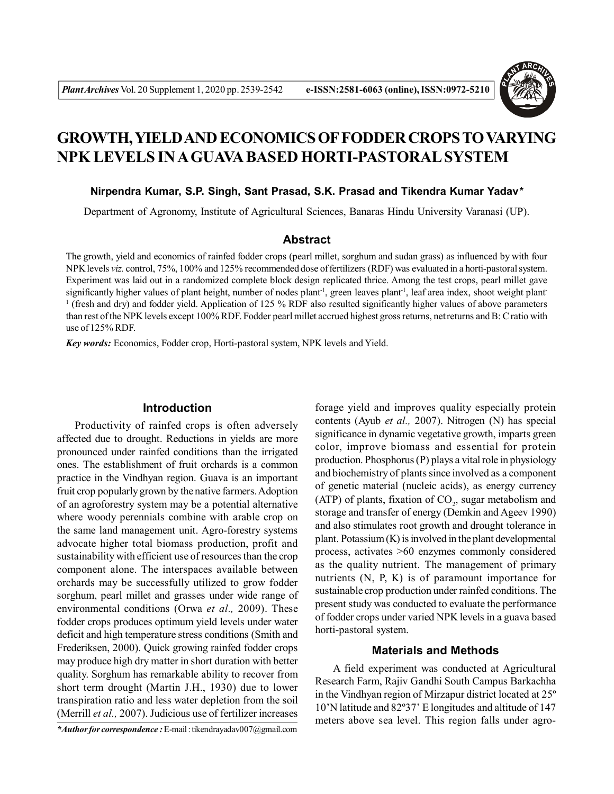

# **GROWTH, YIELD AND ECONOMICS OF FODDER CROPS TO VARYING NPK LEVELS IN A GUAVA BASED HORTI-PASTORAL SYSTEM**

#### **Nirpendra Kumar, S.P. Singh, Sant Prasad, S.K. Prasad and Tikendra Kumar Yadav***\**

Department of Agronomy, Institute of Agricultural Sciences, Banaras Hindu University Varanasi (UP).

# **Abstract**

The growth, yield and economics of rainfed fodder crops (pearl millet, sorghum and sudan grass) as influenced by with four NPK levels *viz.* control, 75%, 100% and 125% recommended dose of fertilizers (RDF) was evaluated in a horti-pastoral system. Experiment was laid out in a randomized complete block design replicated thrice. Among the test crops, pearl millet gave significantly higher values of plant height, number of nodes plant<sup>-1</sup>, green leaves plant<sup>-1</sup>, leaf area index, shoot weight plant-1 (fresh and dry) and fodder yield. Application of 125 % RDF also resulted significantly higher values of above parameters than rest of the NPK levels except 100% RDF. Fodder pearl millet accrued highest gross returns, net returns and B: C ratio with use of 125% RDF.

*Key words:* Economics, Fodder crop, Horti-pastoral system, NPK levels and Yield.

## **Introduction**

Productivity of rainfed crops is often adversely affected due to drought. Reductions in yields are more pronounced under rainfed conditions than the irrigated ones. The establishment of fruit orchards is a common practice in the Vindhyan region. Guava is an important fruit crop popularly grown by the native farmers. Adoption of an agroforestry system may be a potential alternative where woody perennials combine with arable crop on the same land management unit. Agro-forestry systems advocate higher total biomass production, profit and sustainability with efficient use of resources than the crop component alone. The interspaces available between orchards may be successfully utilized to grow fodder sorghum, pearl millet and grasses under wide range of environmental conditions (Orwa *et al.,* 2009). These fodder crops produces optimum yield levels under water deficit and high temperature stress conditions (Smith and Frederiksen, 2000). Quick growing rainfed fodder crops may produce high dry matter in short duration with better quality. Sorghum has remarkable ability to recover from short term drought (Martin J.H., 1930) due to lower transpiration ratio and less water depletion from the soil (Merrill *et al.,* 2007). Judicious use of fertilizer increases

forage yield and improves quality especially protein contents (Ayub *et al.,* 2007). Nitrogen (N) has special significance in dynamic vegetative growth, imparts green color, improve biomass and essential for protein production. Phosphorus (P) plays a vital role in physiology and biochemistry of plants since involved as a component of genetic material (nucleic acids), as energy currency (ATP) of plants, fixation of  $CO<sub>2</sub>$ , sugar metabolism and storage and transfer of energy (Demkin and Ageev 1990) and also stimulates root growth and drought tolerance in plant. Potassium (K) is involved in the plant developmental process, activates >60 enzymes commonly considered as the quality nutrient. The management of primary nutrients (N, P, K) is of paramount importance for sustainable crop production under rainfed conditions. The present study was conducted to evaluate the performance of fodder crops under varied NPK levels in a guava based horti-pastoral system.

# **Materials and Methods**

A field experiment was conducted at Agricultural Research Farm, Rajiv Gandhi South Campus Barkachha in the Vindhyan region of Mirzapur district located at 25º 10'N latitude and 82º37' E longitudes and altitude of 147 meters above sea level. This region falls under agro-

*<sup>\*</sup>Author for correspondence :* E-mail : tikendrayadav007@gmail.com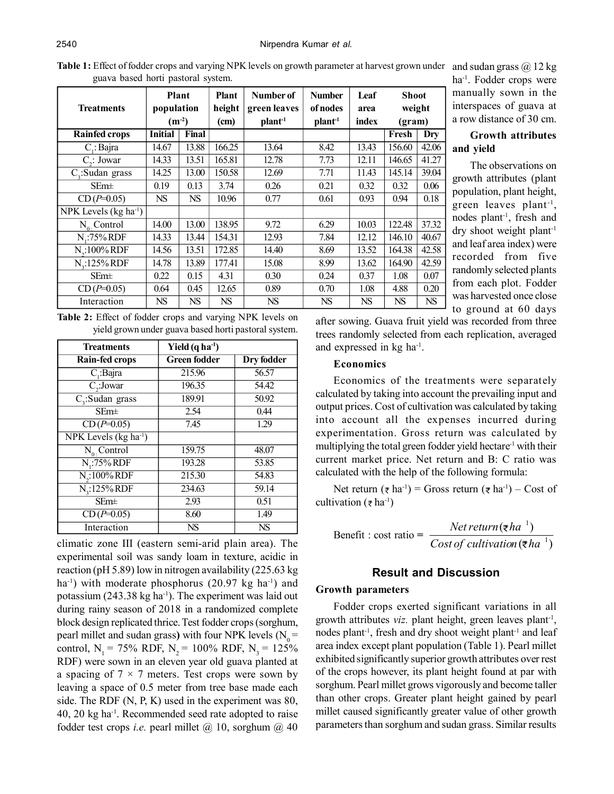Table 1: Effect of fodder crops and varying NPK levels on growth parameter at harvest grown under and sudan grass @ 12 kg guava based horti pastoral system.

| Treatments                     | Plant<br>population<br>$(m^{-2})$ |           | Plant<br>height<br>(cm) | Number of<br>green leaves<br>plan <sup>1</sup> | <b>Number</b><br>of nodes<br>plan <sup>1</sup> | Leaf<br>area<br>index | <b>Shoot</b><br>weight<br>(gram) |           |
|--------------------------------|-----------------------------------|-----------|-------------------------|------------------------------------------------|------------------------------------------------|-----------------------|----------------------------------|-----------|
| <b>Rainfed crops</b>           | <b>Initial</b>                    | Final     |                         |                                                |                                                |                       | Fresh                            | Dry       |
| $C_i$ : Bajra                  | 14.67                             | 13.88     | 166.25                  | 13.64                                          | 8.42                                           | 13.43                 | 156.60                           | 42.06     |
| $C_{2}$ : Jowar                | 14.33                             | 13.51     | 165.81                  | 12.78                                          | 7.73                                           | 12.11                 | 146.65                           | 41.27     |
| $C_{3}$ : Sudan grass          | 14.25                             | 13.00     | 150.58                  | 12.69                                          | 7.71                                           | 11.43                 | 145.14                           | 39.04     |
| $SEm\pm$                       | 0.19                              | 0.13      | 3.74                    | 0.26                                           | 0.21                                           | 0.32                  | 0.32                             | 0.06      |
| $CD(P=0.05)$                   | <b>NS</b>                         | <b>NS</b> | 10.96                   | 0.77                                           | 0.61                                           | 0.93                  | 0.94                             | 0.18      |
| NPK Levels ( $kg \, ha^{-1}$ ) |                                   |           |                         |                                                |                                                |                       |                                  |           |
| $N_0$ . Control                | 14.00                             | 13.00     | 138.95                  | 9.72                                           | 6.29                                           | 10.03                 | 122.48                           | 37.32     |
| N.:75% RDF                     | 14.33                             | 13.44     | 154.31                  | 12.93                                          | 7.84                                           | 12.12                 | 146.10                           | 40.67     |
| $N_{2}:100\%$ RDF              | 14.56                             | 13.51     | 172.85                  | 14.40                                          | 8.69                                           | 13.52                 | 164.38                           | 42.58     |
| N <sub>2</sub> :125% RDF       | 14.78                             | 13.89     | 177.41                  | 15.08                                          | 8.99                                           | 13.62                 | 164.90                           | 42.59     |
| $SEm\pm$                       | 0.22                              | 0.15      | 4.31                    | 0.30                                           | 0.24                                           | 0.37                  | 1.08                             | 0.07      |
| $CD(P=0.05)$                   | 0.64                              | 0.45      | 12.65                   | 0.89                                           | 0.70                                           | 1.08                  | 4.88                             | 0.20      |
| Interaction                    | NS                                | <b>NS</b> | <b>NS</b>               | <b>NS</b>                                      | NS                                             | <b>NS</b>             | <b>NS</b>                        | <b>NS</b> |

|  | <b>Table 2:</b> Effect of fodder crops and varying NPK levels on |  |  |  |
|--|------------------------------------------------------------------|--|--|--|
|  | yield grown under guava based horti pastoral system.             |  |  |  |

| <b>Treatments</b>                 | Yield $(q ha-1)$    |            |  |
|-----------------------------------|---------------------|------------|--|
| Rain-fed crops                    | <b>Green fodder</b> | Dry fodder |  |
| $C_i$ :Bajra                      | 215.96              | 56.57      |  |
| $C_{2}$ : Jowar                   | 196.35              | 54.42      |  |
| $C_{3}$ : Sudan grass             | 189.91              | 50.92      |  |
| $SEm\pm$                          | 2.54                | 0.44       |  |
| $CD(P=0.05)$                      | 7.45                | 1.29       |  |
| NPK Levels (kg ha <sup>-1</sup> ) |                     |            |  |
| $N_0$ . Control                   | 159.75              | 48.07      |  |
| $N$ <sub>1</sub> :75% RDF         | 193.28              | 53.85      |  |
| $N_{2}$ :100% RDF                 | 215.30              | 54.83      |  |
| $N_{3}:125\%$ RDF                 | 234.63              | 59.14      |  |
| $SEm\pm$                          | 2.93                | 0.51       |  |
| $CD(P=0.05)$                      | 8.60                | 1.49       |  |
| Interaction                       | NS                  | <b>NS</b>  |  |

climatic zone III (eastern semi-arid plain area). The experimental soil was sandy loam in texture, acidic in reaction (pH 5.89) low in nitrogen availability (225.63 kg ha<sup>-1</sup>) with moderate phosphorus  $(20.97 \text{ kg} \text{ ha}^{-1})$  and potassium (243.38 kg ha<sup>-1</sup>). The experiment was laid out during rainy season of 2018 in a randomized complete block design replicated thrice. Test fodder crops (sorghum, pearl millet and sudan grass) with four NPK levels  $(N_0 =$ control, N<sub>1</sub> = 75% RDF, N<sub>2</sub> = 100% RDF, N<sub>3</sub> = 125% RDF) were sown in an eleven year old guava planted at a spacing of  $7 \times 7$  meters. Test crops were sown by leaving a space of 0.5 meter from tree base made each side. The RDF (N, P, K) used in the experiment was 80, 40, 20 kg ha-1. Recommended seed rate adopted to raise fodder test crops *i.e.* pearl millet @ 10, sorghum @ 40

ha-1. Fodder crops were manually sown in the interspaces of guava at a row distance of 30 cm.

# **Growth attributes and yield**

The observations on growth attributes (plant population, plant height, green leaves plant-1 , nodes plant-1, fresh and dry shoot weight plant-1 and leaf area index) were recorded from five randomly selected plants from each plot. Fodder was harvested once close to ground at 60 days

after sowing. Guava fruit yield was recorded from three trees randomly selected from each replication, averaged and expressed in kg ha-1 .

### **Economics**

Economics of the treatments were separately calculated by taking into account the prevailing input and output prices. Cost of cultivation was calculated by taking into account all the expenses incurred during experimentation. Gross return was calculated by multiplying the total green fodder yield hectare<sup>-1</sup> with their current market price. Net return and B: C ratio was calculated with the help of the following formula:

Net return  $(\bar{\tau} \text{ ha}^{-1})$  = Gross return  $(\bar{\tau} \text{ ha}^{-1})$  – Cost of cultivation ( $\bar{\tau}$  ha<sup>-1</sup>)

Benefit : cost ratio =  $\frac{1}{Cost of \, calibration(\overline{\tau}ha^{-1})}$  $(\overline{\epsilon} ha^{-1})$ 1 1 *Cost of cultivation ha Netreturn ha*

# **Result and Discussion**

## **Growth parameters**

Fodder crops exerted significant variations in all growth attributes *viz*. plant height, green leaves plant<sup>-1</sup>, nodes plant<sup>-1</sup>, fresh and dry shoot weight plant<sup>-1</sup> and leaf area index except plant population (Table 1). Pearl millet exhibited significantly superior growth attributes over rest of the crops however, its plant height found at par with sorghum. Pearl millet grows vigorously and become taller than other crops. Greater plant height gained by pearl millet caused significantly greater value of other growth parameters than sorghum and sudan grass. Similar results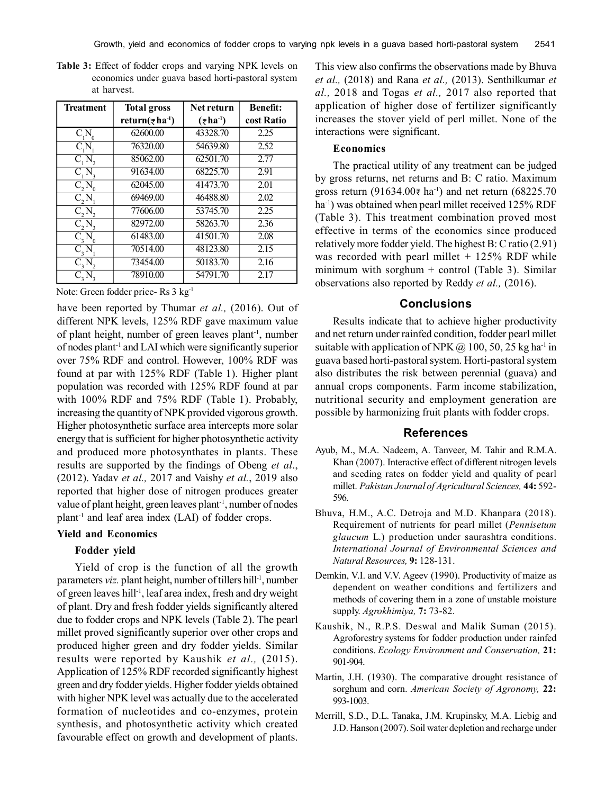| <b>Treatment</b> | <b>Total gross</b>                      | Net return                            | <b>Benefit:</b> |  |
|------------------|-----------------------------------------|---------------------------------------|-----------------|--|
|                  | return( $\bar{\tau}$ ha <sup>-1</sup> ) | $(\overline{\tau}$ ha <sup>-1</sup> ) | cost Ratio      |  |
| $C_1N$           | 62600.00                                | 43328.70                              | 2.25            |  |
| $C_{\cdot}N$     | 76320.00                                | 54639.80                              | 2.52            |  |
| C, N,            | 85062.00                                | 62501.70                              | 2.77            |  |
| C, N             | 91634.00                                | 68225.70                              | 2.91            |  |
| C, N             | 62045.00                                | 41473.70                              | 2.01            |  |
| C, N             | 69469.00                                | 46488.80                              | 2.02            |  |
| C, N,            | 77606.00                                | 53745.70                              | 2.25            |  |
| C, N             | 82972.00                                | 58263.70                              | 2.36            |  |
| C, N             | 61483.00                                | 41501.70                              | 2.08            |  |
| C, N             | 70514.00                                | 48123.80                              | 2.15            |  |
| C, N,            | 73454.00                                | 50183.70                              | 2.16            |  |
|                  | 78910.00                                | 54791.70                              | 2.17            |  |

**Table 3:** Effect of fodder crops and varying NPK levels on economics under guava based horti-pastoral system at harvest.

Note: Green fodder price- Rs 3 kg-1

have been reported by Thumar *et al.,* (2016). Out of different NPK levels, 125% RDF gave maximum value of plant height, number of green leaves plant-1, number of nodes plant-1 and LAI which were significantly superior over 75% RDF and control. However, 100% RDF was found at par with 125% RDF (Table 1). Higher plant population was recorded with 125% RDF found at par with 100% RDF and 75% RDF (Table 1). Probably, increasing the quantity of NPK provided vigorous growth. Higher photosynthetic surface area intercepts more solar energy that is sufficient for higher photosynthetic activity and produced more photosynthates in plants. These results are supported by the findings of Obeng *et al*., (2012). Yadav *et al.,* 2017 and Vaishy *et al.*, 2019 also reported that higher dose of nitrogen produces greater value of plant height, green leaves plant<sup>-1</sup>, number of nodes plant-1 and leaf area index (LAI) of fodder crops.

## **Yield and Economics**

### **Fodder yield**

Yield of crop is the function of all the growth parameters *viz.* plant height, number of tillers hill<sup>-1</sup>, number of green leaves hill-1, leaf area index, fresh and dry weight of plant. Dry and fresh fodder yields significantly altered due to fodder crops and NPK levels (Table 2). The pearl millet proved significantly superior over other crops and produced higher green and dry fodder yields. Similar results were reported by Kaushik *et al.,* (2015). Application of 125% RDF recorded significantly highest green and dry fodder yields. Higher fodder yields obtained with higher NPK level was actually due to the accelerated formation of nucleotides and co-enzymes, protein synthesis, and photosynthetic activity which created favourable effect on growth and development of plants. This view also confirms the observations made by Bhuva *et al.,* (2018) and Rana *et al.,* (2013). Senthilkumar *et al.,* 2018 and Togas *et al.,* 2017 also reported that application of higher dose of fertilizer significantly increases the stover yield of perl millet. None of the interactions were significant.

# **Economics**

The practical utility of any treatment can be judged by gross returns, net returns and B: C ratio. Maximum gross return (91634.00 $\bar{\tau}$  ha<sup>-1</sup>) and net return (68225.70 ha<sup>-1</sup>) was obtained when pearl millet received 125% RDF (Table 3). This treatment combination proved most effective in terms of the economics since produced relatively more fodder yield. The highest B: C ratio (2.91) was recorded with pearl millet  $+$  125% RDF while minimum with sorghum  $+$  control (Table 3). Similar observations also reported by Reddy *et al.,* (2016).

## **Conclusions**

Results indicate that to achieve higher productivity and net return under rainfed condition, fodder pearl millet suitable with application of NPK  $@$  100, 50, 25 kg ha<sup>-1</sup> in guava based horti-pastoral system. Horti-pastoral system also distributes the risk between perennial (guava) and annual crops components. Farm income stabilization, nutritional security and employment generation are possible by harmonizing fruit plants with fodder crops.

#### **References**

- Ayub, M., M.A. Nadeem, A. Tanveer, M. Tahir and R.M.A. Khan (2007). Interactive effect of different nitrogen levels and seeding rates on fodder yield and quality of pearl millet. *Pakistan Journal of Agricultural Sciences,* **44:** 592- 596.
- Bhuva, H.M., A.C. Detroja and M.D. Khanpara (2018). Requirement of nutrients for pearl millet (*Pennisetum glaucum* L.) production under saurashtra conditions. *International Journal of Environmental Sciences and Natural Resources,* **9:** 128-131.
- Demkin, V.I. and V.V. Ageev (1990). Productivity of maize as dependent on weather conditions and fertilizers and methods of covering them in a zone of unstable moisture supply. *Agrokhimiya,* **7:** 73-82.
- Kaushik, N., R.P.S. Deswal and Malik Suman (2015). Agroforestry systems for fodder production under rainfed conditions. *Ecology Environment and Conservation,* **21:** 901-904.
- Martin, J.H. (1930). The comparative drought resistance of sorghum and corn. *American Society of Agronomy,* **22:** 993-1003.
- Merrill, S.D., D.L. Tanaka, J.M. Krupinsky, M.A. Liebig and J.D. Hanson (2007). Soil water depletion and recharge under